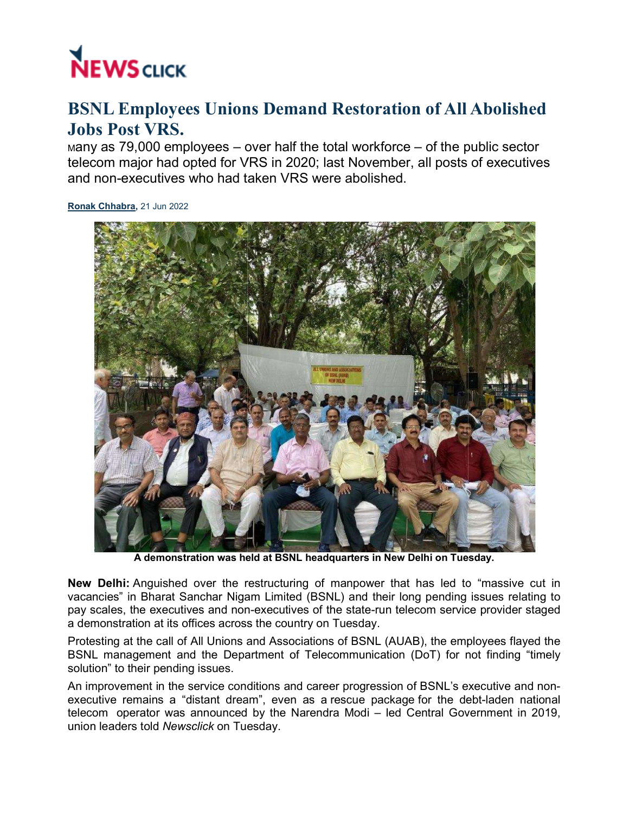

## BSNL Employees Unions Demand Restoration of All Abolished Jobs Post VRS.

маny as 79,000 employees – over half the total workforce – of the public sector telecom major had opted for VRS in 2020; last November, all posts of executives<br>and non-executives who had taken VRS were abolished. and non-executives who had taken VRS were abolished.

Ronak Chhabra, 21 Jun 2022



A demonstration was held at BSNL headquarters in New Delhi on Tuesday.

New Delhi: Anguished over the restructuring of manpower that has led to "massive cut in vacancies" in Bharat Sanchar Nigam Limited (BSNL) and their long pending issues relating to **New Delhi:** Anguished over the restructuring of manpower that has led to "massive cut in<br>vacancies" in Bharat Sanchar Nigam Limited (BSNL) and their long pending issues relating to<br>pay scales, the executives and non-execu a demonstration at its offices across the country on Tuesday

Protesting at the call of All Unions and Associations of BSNL (AUAB), the employees flayed the a demonstration at its offices across the country on Tuesday.<br>Protesting at the call of All Unions and Associations of BSNL (AUAB), the employees flayed the<br>BSNL management and the Department of Telecommunication (DoT) for solution" to their pending issues. call of All Unions and Associations of BSNL (AUAB), the employees flayed the<br>ent and the Department of Telecommunication (DoT) for not finding "timely<br>pending issues.<br>in the service conditions and career progression of BSN

An improvement in the service conditions and career progression of BSNL's executive and non An improvement in the service conditions and career progression of BSNL's executive and non-<br>executive remains a "distant dream", even as a rescue package for the debt-laden national telecom operator was announced by the Narendra Modi – led Central Government in 2019, union leaders told *Newsclick* on Tuesday.